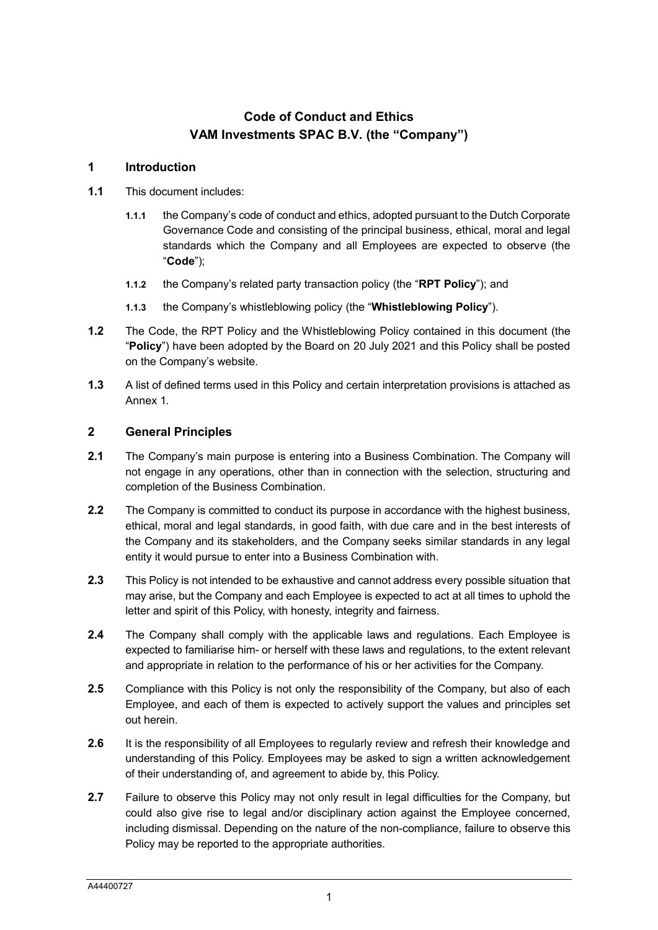## **Code of Conduct and Ethics VAM Investments SPAC B.V. (the "Company")**

## **1 Introduction**

- <span id="page-0-0"></span>**1.1** This document includes:
	- **1.1.1** the Company's code of conduct and ethics, adopted pursuant to the Dutch Corporate Governance Code and consisting of the principal business, ethical, moral and legal standards which the Company and all Employees are expected to observe (the "**Code**");
	- **1.1.2** the Company's related party transaction policy (the "**RPT Policy**"); and
	- **1.1.3** the Company's whistleblowing policy (the "**Whistleblowing Policy**").
- **1.2** The Code, the RPT Policy and the Whistleblowing Policy contained in this document (the "**Policy**") have been adopted by the Board on 20 July 2021 and this Policy shall be posted on the Company's website.
- **1.3** A list of defined terms used in this Policy and certain interpretation provisions is attached as Annex 1.

#### **2 General Principles**

- **2.1** The Company's main purpose is entering into a Business Combination. The Company will not engage in any operations, other than in connection with the selection, structuring and completion of the Business Combination.
- **2.2** The Company is committed to conduct its purpose in accordance with the highest business, ethical, moral and legal standards, in good faith, with due care and in the best interests of the Company and its stakeholders, and the Company seeks similar standards in any legal entity it would pursue to enter into a Business Combination with.
- **2.3** This Policy is not intended to be exhaustive and cannot address every possible situation that may arise, but the Company and each Employee is expected to act at all times to uphold the letter and spirit of this Policy, with honesty, integrity and fairness.
- **2.4** The Company shall comply with the applicable laws and regulations. Each Employee is expected to familiarise him- or herself with these laws and regulations, to the extent relevant and appropriate in relation to the performance of his or her activities for the Company.
- **2.5** Compliance with this Policy is not only the responsibility of the Company, but also of each Employee, and each of them is expected to actively support the values and principles set out herein.
- **2.6** It is the responsibility of all Employees to regularly review and refresh their knowledge and understanding of this Policy. Employees may be asked to sign a written acknowledgement of their understanding of, and agreement to abide by, this Policy.
- **2.7** Failure to observe this Policy may not only result in legal difficulties for the Company, but could also give rise to legal and/or disciplinary action against the Employee concerned, including dismissal. Depending on the nature of the non-compliance, failure to observe this Policy may be reported to the appropriate authorities.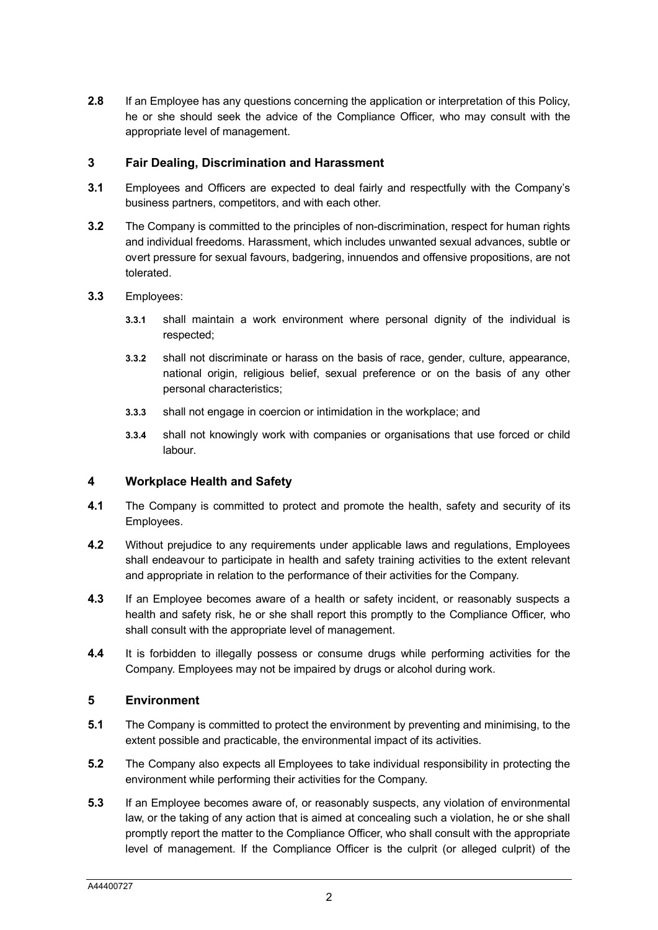**2.8** If an Employee has any questions concerning the application or interpretation of this Policy, he or she should seek the advice of the Compliance Officer, who may consult with the appropriate level of management.

## **3 Fair Dealing, Discrimination and Harassment**

- **3.1** Employees and Officers are expected to deal fairly and respectfully with the Company's business partners, competitors, and with each other.
- **3.2** The Company is committed to the principles of non-discrimination, respect for human rights and individual freedoms. Harassment, which includes unwanted sexual advances, subtle or overt pressure for sexual favours, badgering, innuendos and offensive propositions, are not tolerated.
- **3.3** Employees:
	- **3.3.1** shall maintain a work environment where personal dignity of the individual is respected;
	- **3.3.2** shall not discriminate or harass on the basis of race, gender, culture, appearance, national origin, religious belief, sexual preference or on the basis of any other personal characteristics;
	- **3.3.3** shall not engage in coercion or intimidation in the workplace; and
	- **3.3.4** shall not knowingly work with companies or organisations that use forced or child labour.

## **4 Workplace Health and Safety**

- **4.1** The Company is committed to protect and promote the health, safety and security of its Employees.
- **4.2** Without prejudice to any requirements under applicable laws and regulations, Employees shall endeavour to participate in health and safety training activities to the extent relevant and appropriate in relation to the performance of their activities for the Company.
- **4.3** If an Employee becomes aware of a health or safety incident, or reasonably suspects a health and safety risk, he or she shall report this promptly to the Compliance Officer, who shall consult with the appropriate level of management.
- **4.4** It is forbidden to illegally possess or consume drugs while performing activities for the Company. Employees may not be impaired by drugs or alcohol during work.

## **5 Environment**

- **5.1** The Company is committed to protect the environment by preventing and minimising, to the extent possible and practicable, the environmental impact of its activities.
- **5.2** The Company also expects all Employees to take individual responsibility in protecting the environment while performing their activities for the Company.
- **5.3** If an Employee becomes aware of, or reasonably suspects, any violation of environmental law, or the taking of any action that is aimed at concealing such a violation, he or she shall promptly report the matter to the Compliance Officer, who shall consult with the appropriate level of management. If the Compliance Officer is the culprit (or alleged culprit) of the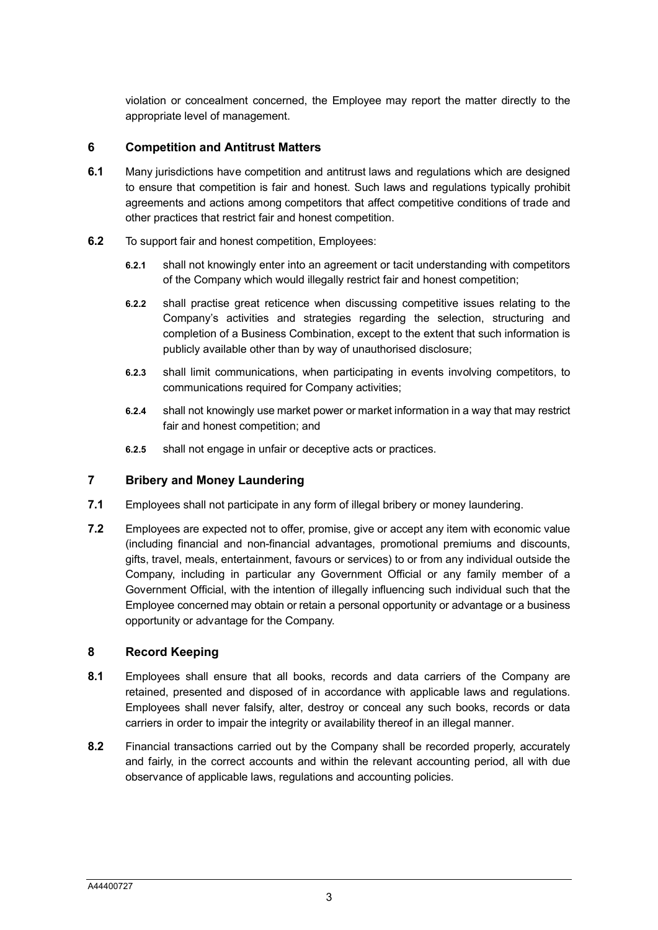violation or concealment concerned, the Employee may report the matter directly to the appropriate level of management.

## **6 Competition and Antitrust Matters**

- **6.1** Many jurisdictions have competition and antitrust laws and regulations which are designed to ensure that competition is fair and honest. Such laws and regulations typically prohibit agreements and actions among competitors that affect competitive conditions of trade and other practices that restrict fair and honest competition.
- **6.2** To support fair and honest competition, Employees:
	- **6.2.1** shall not knowingly enter into an agreement or tacit understanding with competitors of the Company which would illegally restrict fair and honest competition;
	- **6.2.2** shall practise great reticence when discussing competitive issues relating to the Company's activities and strategies regarding the selection, structuring and completion of a Business Combination, except to the extent that such information is publicly available other than by way of unauthorised disclosure;
	- **6.2.3** shall limit communications, when participating in events involving competitors, to communications required for Company activities;
	- **6.2.4** shall not knowingly use market power or market information in a way that may restrict fair and honest competition; and
	- **6.2.5** shall not engage in unfair or deceptive acts or practices.

## **7 Bribery and Money Laundering**

- **7.1** Employees shall not participate in any form of illegal bribery or money laundering.
- **7.2** Employees are expected not to offer, promise, give or accept any item with economic value (including financial and non-financial advantages, promotional premiums and discounts, gifts, travel, meals, entertainment, favours or services) to or from any individual outside the Company, including in particular any Government Official or any family member of a Government Official, with the intention of illegally influencing such individual such that the Employee concerned may obtain or retain a personal opportunity or advantage or a business opportunity or advantage for the Company.

## **8 Record Keeping**

- **8.1** Employees shall ensure that all books, records and data carriers of the Company are retained, presented and disposed of in accordance with applicable laws and regulations. Employees shall never falsify, alter, destroy or conceal any such books, records or data carriers in order to impair the integrity or availability thereof in an illegal manner.
- **8.2** Financial transactions carried out by the Company shall be recorded properly, accurately and fairly, in the correct accounts and within the relevant accounting period, all with due observance of applicable laws, regulations and accounting policies.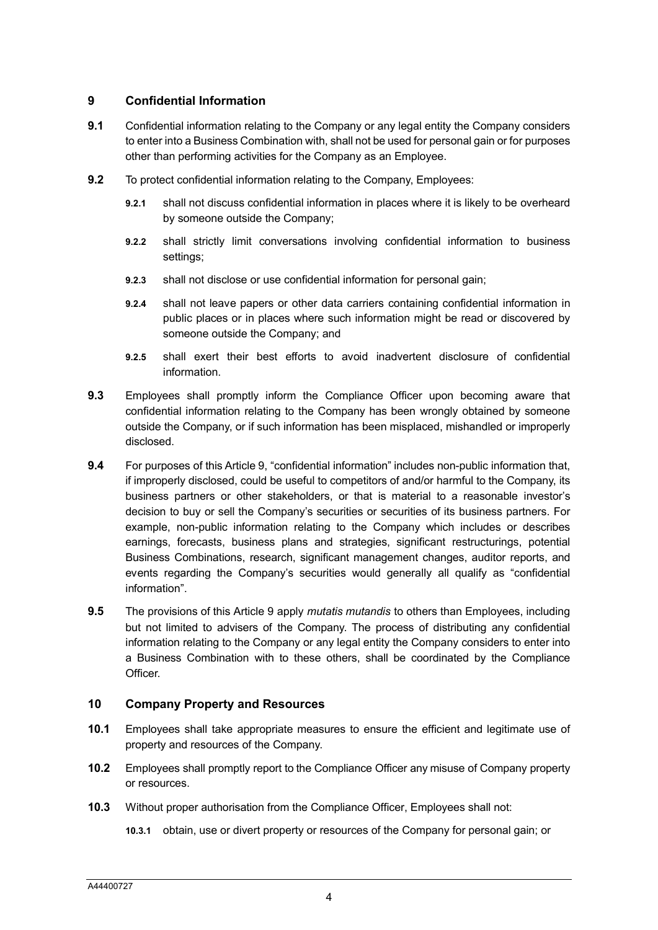## <span id="page-3-0"></span>**9 Confidential Information**

- **9.1** Confidential information relating to the Company or any legal entity the Company considers to enter into a Business Combination with, shall not be used for personal gain or for purposes other than performing activities for the Company as an Employee.
- **9.2** To protect confidential information relating to the Company, Employees:
	- **9.2.1** shall not discuss confidential information in places where it is likely to be overheard by someone outside the Company;
	- **9.2.2** shall strictly limit conversations involving confidential information to business settings;
	- **9.2.3** shall not disclose or use confidential information for personal gain;
	- **9.2.4** shall not leave papers or other data carriers containing confidential information in public places or in places where such information might be read or discovered by someone outside the Company; and
	- **9.2.5** shall exert their best efforts to avoid inadvertent disclosure of confidential information.
- **9.3** Employees shall promptly inform the Compliance Officer upon becoming aware that confidential information relating to the Company has been wrongly obtained by someone outside the Company, or if such information has been misplaced, mishandled or improperly disclosed.
- **9.4** For purposes of this Articl[e 9,](#page-3-0) "confidential information" includes non-public information that, if improperly disclosed, could be useful to competitors of and/or harmful to the Company, its business partners or other stakeholders, or that is material to a reasonable investor's decision to buy or sell the Company's securities or securities of its business partners. For example, non-public information relating to the Company which includes or describes earnings, forecasts, business plans and strategies, significant restructurings, potential Business Combinations, research, significant management changes, auditor reports, and events regarding the Company's securities would generally all qualify as "confidential information".
- **9.5** The provisions of this Article [9](#page-3-0) apply *mutatis mutandis* to others than Employees, including but not limited to advisers of the Company. The process of distributing any confidential information relating to the Company or any legal entity the Company considers to enter into a Business Combination with to these others, shall be coordinated by the Compliance Officer.

## **10 Company Property and Resources**

- **10.1** Employees shall take appropriate measures to ensure the efficient and legitimate use of property and resources of the Company.
- **10.2** Employees shall promptly report to the Compliance Officer any misuse of Company property or resources.
- **10.3** Without proper authorisation from the Compliance Officer, Employees shall not:
	- **10.3.1** obtain, use or divert property or resources of the Company for personal gain; or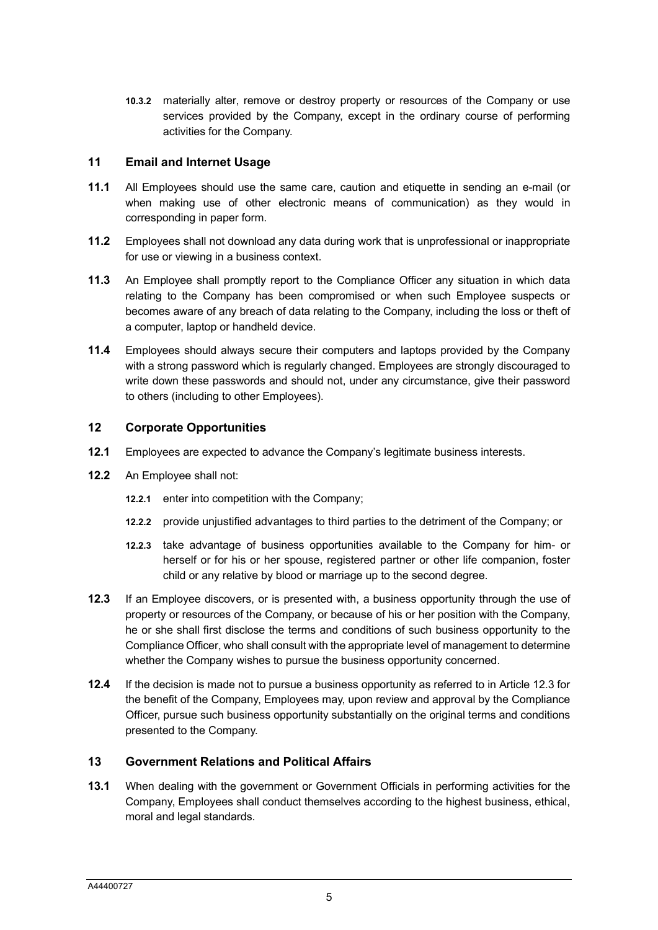**10.3.2** materially alter, remove or destroy property or resources of the Company or use services provided by the Company, except in the ordinary course of performing activities for the Company.

## **11 Email and Internet Usage**

- **11.1** All Employees should use the same care, caution and etiquette in sending an e-mail (or when making use of other electronic means of communication) as they would in corresponding in paper form.
- **11.2** Employees shall not download any data during work that is unprofessional or inappropriate for use or viewing in a business context.
- **11.3** An Employee shall promptly report to the Compliance Officer any situation in which data relating to the Company has been compromised or when such Employee suspects or becomes aware of any breach of data relating to the Company, including the loss or theft of a computer, laptop or handheld device.
- **11.4** Employees should always secure their computers and laptops provided by the Company with a strong password which is regularly changed. Employees are strongly discouraged to write down these passwords and should not, under any circumstance, give their password to others (including to other Employees).

#### **12 Corporate Opportunities**

- **12.1** Employees are expected to advance the Company's legitimate business interests.
- **12.2** An Employee shall not:
	- **12.2.1** enter into competition with the Company;
	- **12.2.2** provide unjustified advantages to third parties to the detriment of the Company; or
	- **12.2.3** take advantage of business opportunities available to the Company for him- or herself or for his or her spouse, registered partner or other life companion, foster child or any relative by blood or marriage up to the second degree.
- <span id="page-4-0"></span>**12.3** If an Employee discovers, or is presented with, a business opportunity through the use of property or resources of the Company, or because of his or her position with the Company, he or she shall first disclose the terms and conditions of such business opportunity to the Compliance Officer, who shall consult with the appropriate level of management to determine whether the Company wishes to pursue the business opportunity concerned.
- **12.4** If the decision is made not to pursue a business opportunity as referred to in Article [12.3](#page-4-0) for the benefit of the Company, Employees may, upon review and approval by the Compliance Officer, pursue such business opportunity substantially on the original terms and conditions presented to the Company.

## **13 Government Relations and Political Affairs**

**13.1** When dealing with the government or Government Officials in performing activities for the Company, Employees shall conduct themselves according to the highest business, ethical, moral and legal standards.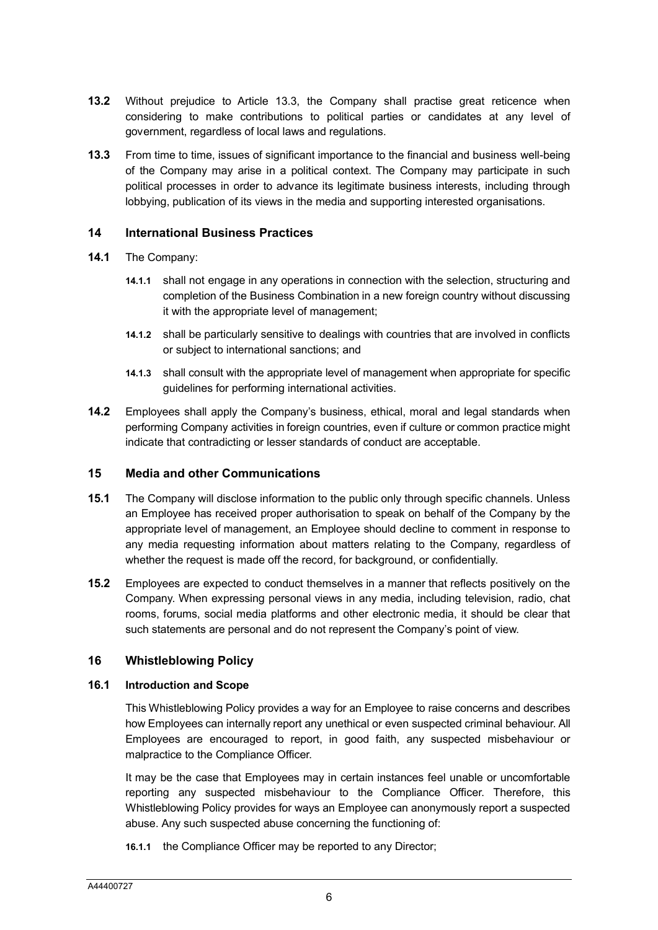- **13.2** Without prejudice to Article [13.3,](#page-5-0) the Company shall practise great reticence when considering to make contributions to political parties or candidates at any level of government, regardless of local laws and regulations.
- <span id="page-5-0"></span>**13.3** From time to time, issues of significant importance to the financial and business well-being of the Company may arise in a political context. The Company may participate in such political processes in order to advance its legitimate business interests, including through lobbying, publication of its views in the media and supporting interested organisations.

#### **14 International Business Practices**

- **14.1** The Company:
	- **14.1.1** shall not engage in any operations in connection with the selection, structuring and completion of the Business Combination in a new foreign country without discussing it with the appropriate level of management;
	- **14.1.2** shall be particularly sensitive to dealings with countries that are involved in conflicts or subject to international sanctions; and
	- **14.1.3** shall consult with the appropriate level of management when appropriate for specific guidelines for performing international activities.
- **14.2** Employees shall apply the Company's business, ethical, moral and legal standards when performing Company activities in foreign countries, even if culture or common practice might indicate that contradicting or lesser standards of conduct are acceptable.

#### **15 Media and other Communications**

- **15.1** The Company will disclose information to the public only through specific channels. Unless an Employee has received proper authorisation to speak on behalf of the Company by the appropriate level of management, an Employee should decline to comment in response to any media requesting information about matters relating to the Company, regardless of whether the request is made off the record, for background, or confidentially.
- **15.2** Employees are expected to conduct themselves in a manner that reflects positively on the Company. When expressing personal views in any media, including television, radio, chat rooms, forums, social media platforms and other electronic media, it should be clear that such statements are personal and do not represent the Company's point of view.

#### **16 Whistleblowing Policy**

#### **16.1 Introduction and Scope**

This Whistleblowing Policy provides a way for an Employee to raise concerns and describes how Employees can internally report any unethical or even suspected criminal behaviour. All Employees are encouraged to report, in good faith, any suspected misbehaviour or malpractice to the Compliance Officer.

It may be the case that Employees may in certain instances feel unable or uncomfortable reporting any suspected misbehaviour to the Compliance Officer. Therefore, this Whistleblowing Policy provides for ways an Employee can anonymously report a suspected abuse. Any such suspected abuse concerning the functioning of:

**16.1.1** the Compliance Officer may be reported to any Director;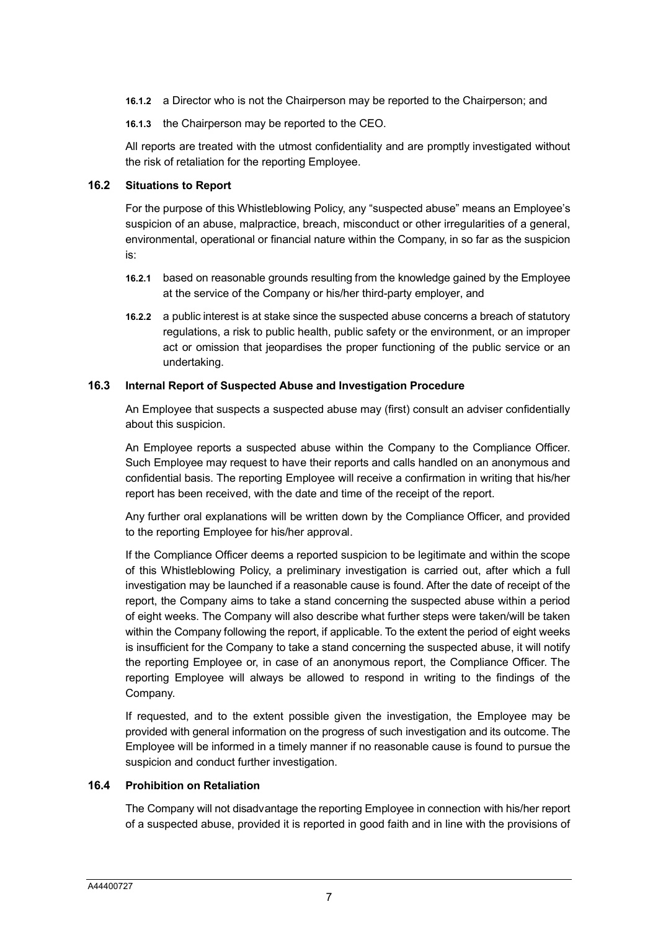- **16.1.2** a Director who is not the Chairperson may be reported to the Chairperson; and
- **16.1.3** the Chairperson may be reported to the CEO.

All reports are treated with the utmost confidentiality and are promptly investigated without the risk of retaliation for the reporting Employee.

#### **16.2 Situations to Report**

For the purpose of this Whistleblowing Policy, any "suspected abuse" means an Employee's suspicion of an abuse, malpractice, breach, misconduct or other irregularities of a general, environmental, operational or financial nature within the Company, in so far as the suspicion is:

- **16.2.1** based on reasonable grounds resulting from the knowledge gained by the Employee at the service of the Company or his/her third-party employer, and
- **16.2.2** a public interest is at stake since the suspected abuse concerns a breach of statutory regulations, a risk to public health, public safety or the environment, or an improper act or omission that jeopardises the proper functioning of the public service or an undertaking.

#### **16.3 Internal Report of Suspected Abuse and Investigation Procedure**

An Employee that suspects a suspected abuse may (first) consult an adviser confidentially about this suspicion.

An Employee reports a suspected abuse within the Company to the Compliance Officer. Such Employee may request to have their reports and calls handled on an anonymous and confidential basis. The reporting Employee will receive a confirmation in writing that his/her report has been received, with the date and time of the receipt of the report.

Any further oral explanations will be written down by the Compliance Officer, and provided to the reporting Employee for his/her approval.

If the Compliance Officer deems a reported suspicion to be legitimate and within the scope of this Whistleblowing Policy, a preliminary investigation is carried out, after which a full investigation may be launched if a reasonable cause is found. After the date of receipt of the report, the Company aims to take a stand concerning the suspected abuse within a period of eight weeks. The Company will also describe what further steps were taken/will be taken within the Company following the report, if applicable. To the extent the period of eight weeks is insufficient for the Company to take a stand concerning the suspected abuse, it will notify the reporting Employee or, in case of an anonymous report, the Compliance Officer. The reporting Employee will always be allowed to respond in writing to the findings of the Company.

If requested, and to the extent possible given the investigation, the Employee may be provided with general information on the progress of such investigation and its outcome. The Employee will be informed in a timely manner if no reasonable cause is found to pursue the suspicion and conduct further investigation.

## **16.4 Prohibition on Retaliation**

The Company will not disadvantage the reporting Employee in connection with his/her report of a suspected abuse, provided it is reported in good faith and in line with the provisions of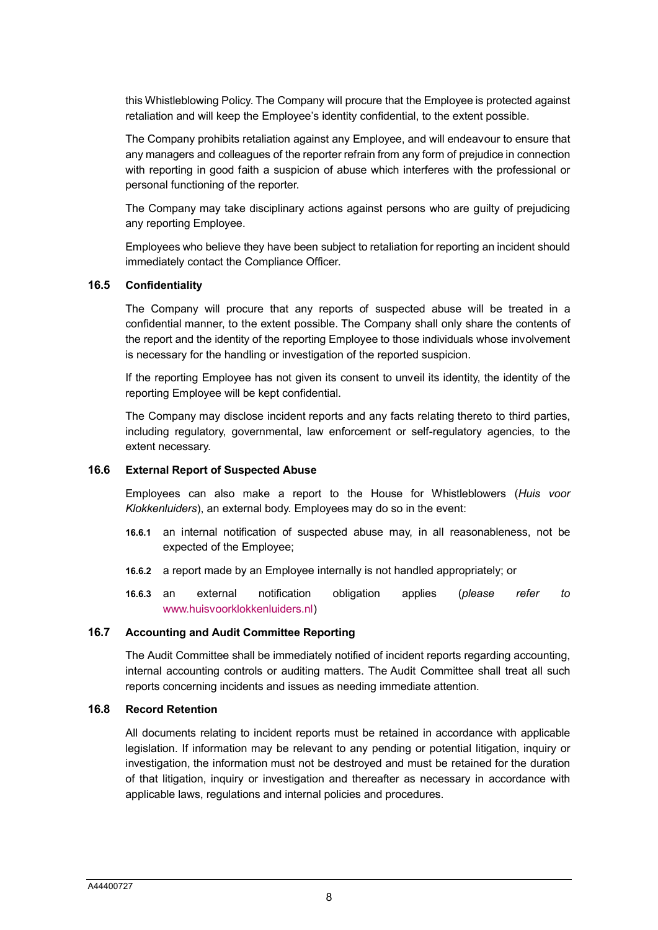this Whistleblowing Policy. The Company will procure that the Employee is protected against retaliation and will keep the Employee's identity confidential, to the extent possible.

The Company prohibits retaliation against any Employee, and will endeavour to ensure that any managers and colleagues of the reporter refrain from any form of prejudice in connection with reporting in good faith a suspicion of abuse which interferes with the professional or personal functioning of the reporter.

The Company may take disciplinary actions against persons who are guilty of prejudicing any reporting Employee.

Employees who believe they have been subject to retaliation for reporting an incident should immediately contact the Compliance Officer.

#### **16.5 Confidentiality**

The Company will procure that any reports of suspected abuse will be treated in a confidential manner, to the extent possible. The Company shall only share the contents of the report and the identity of the reporting Employee to those individuals whose involvement is necessary for the handling or investigation of the reported suspicion.

If the reporting Employee has not given its consent to unveil its identity, the identity of the reporting Employee will be kept confidential.

The Company may disclose incident reports and any facts relating thereto to third parties, including regulatory, governmental, law enforcement or self-regulatory agencies, to the extent necessary.

#### **16.6 External Report of Suspected Abuse**

Employees can also make a report to the House for Whistleblowers (*Huis voor Klokkenluiders*), an external body. Employees may do so in the event:

- **16.6.1** an internal notification of suspected abuse may, in all reasonableness, not be expected of the Employee;
- **16.6.2** a report made by an Employee internally is not handled appropriately; or
- **16.6.3** an external notification obligation applies (*please refer to*  [www.huisvoorklokkenluiders.nl\)](http://www.huisvoorklokkenluiders.nl/)

#### **16.7 Accounting and Audit Committee Reporting**

The Audit Committee shall be immediately notified of incident reports regarding accounting, internal accounting controls or auditing matters. The Audit Committee shall treat all such reports concerning incidents and issues as needing immediate attention.

#### **16.8 Record Retention**

All documents relating to incident reports must be retained in accordance with applicable legislation. If information may be relevant to any pending or potential litigation, inquiry or investigation, the information must not be destroyed and must be retained for the duration of that litigation, inquiry or investigation and thereafter as necessary in accordance with applicable laws, regulations and internal policies and procedures.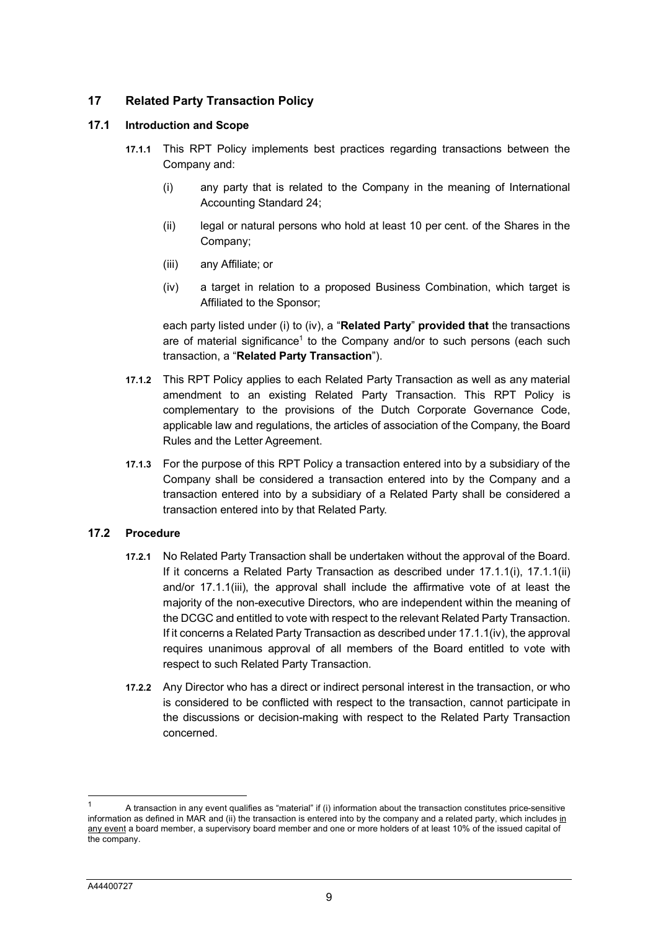## **17 Related Party Transaction Policy**

#### <span id="page-8-5"></span><span id="page-8-3"></span><span id="page-8-2"></span><span id="page-8-1"></span>**17.1 Introduction and Scope**

- **17.1.1** This RPT Policy implements best practices regarding transactions between the Company and:
	- (i) any party that is related to the Company in the meaning of International Accounting Standard 24;
	- (ii) legal or natural persons who hold at least 10 per cent. of the Shares in the Company;
	- (iii) any Affiliate; or
	- (iv) a target in relation to a proposed Business Combination, which target is Affiliated to the Sponsor;

each party listed under (i) to (iv), a "**Related Party**" **provided that** the transactions are of material significance<sup>[1](#page-8-4)</sup> to the Company and/or to such persons (each such transaction, a "**Related Party Transaction**").

- <span id="page-8-0"></span>**17.1.2** This RPT Policy applies to each Related Party Transaction as well as any material amendment to an existing Related Party Transaction. This RPT Policy is complementary to the provisions of the Dutch Corporate Governance Code, applicable law and regulations, the articles of association of the Company, the Board Rules and the Letter Agreement.
- **17.1.3** For the purpose of this RPT Policy a transaction entered into by a subsidiary of the Company shall be considered a transaction entered into by the Company and a transaction entered into by a subsidiary of a Related Party shall be considered a transaction entered into by that Related Party.

## **17.2 Procedure**

- **17.2.1** No Related Party Transaction shall be undertaken without the approval of the Board. If it concerns a Related Party Transaction as described under [17.1.1\(i\),](#page-8-3) [17.1.1\(ii\)](#page-8-2) and/or [17.1.1\(iii\),](#page-8-1) the approval shall include the affirmative vote of at least the majority of the non-executive Directors, who are independent within the meaning of the DCGC and entitled to vote with respect to the relevant Related Party Transaction. If it concerns a Related Party Transaction as described under [17.1.1\(iv\),](#page-8-0) the approval requires unanimous approval of all members of the Board entitled to vote with respect to such Related Party Transaction.
- **17.2.2** Any Director who has a direct or indirect personal interest in the transaction, or who is considered to be conflicted with respect to the transaction, cannot participate in the discussions or decision-making with respect to the Related Party Transaction concerned.

 $\overline{a}$ 

<span id="page-8-4"></span><sup>1</sup> A transaction in any event qualifies as "material" if (i) information about the transaction constitutes price-sensitive information as defined in MAR and (ii) the transaction is entered into by the company and a related party, which includes in any event a board member, a supervisory board member and one or more holders of at least 10% of the issued capital of the company.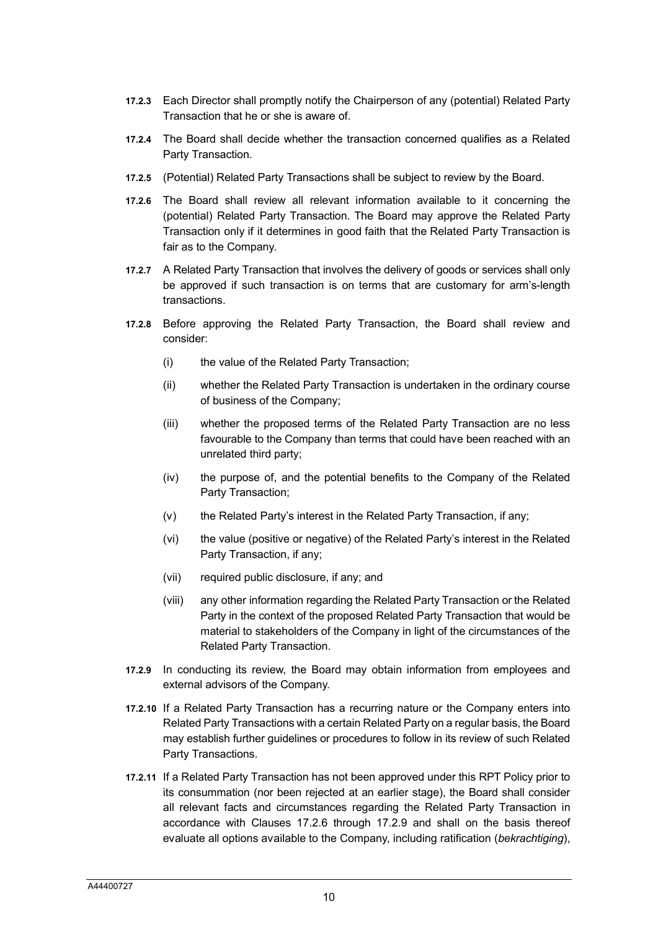- **17.2.3** Each Director shall promptly notify the Chairperson of any (potential) Related Party Transaction that he or she is aware of.
- **17.2.4** The Board shall decide whether the transaction concerned qualifies as a Related Party Transaction.
- **17.2.5** (Potential) Related Party Transactions shall be subject to review by the Board.
- <span id="page-9-1"></span>**17.2.6** The Board shall review all relevant information available to it concerning the (potential) Related Party Transaction. The Board may approve the Related Party Transaction only if it determines in good faith that the Related Party Transaction is fair as to the Company.
- **17.2.7** A Related Party Transaction that involves the delivery of goods or services shall only be approved if such transaction is on terms that are customary for arm's-length transactions.
- **17.2.8** Before approving the Related Party Transaction, the Board shall review and consider:
	- (i) the value of the Related Party Transaction;
	- (ii) whether the Related Party Transaction is undertaken in the ordinary course of business of the Company;
	- (iii) whether the proposed terms of the Related Party Transaction are no less favourable to the Company than terms that could have been reached with an unrelated third party;
	- (iv) the purpose of, and the potential benefits to the Company of the Related Party Transaction;
	- (v) the Related Party's interest in the Related Party Transaction, if any;
	- (vi) the value (positive or negative) of the Related Party's interest in the Related Party Transaction, if any;
	- (vii) required public disclosure, if any; and
	- (viii) any other information regarding the Related Party Transaction or the Related Party in the context of the proposed Related Party Transaction that would be material to stakeholders of the Company in light of the circumstances of the Related Party Transaction.
- <span id="page-9-0"></span>**17.2.9** In conducting its review, the Board may obtain information from employees and external advisors of the Company.
- **17.2.10** If a Related Party Transaction has a recurring nature or the Company enters into Related Party Transactions with a certain Related Party on a regular basis, the Board may establish further guidelines or procedures to follow in its review of such Related Party Transactions.
- **17.2.11** If a Related Party Transaction has not been approved under this RPT Policy prior to its consummation (nor been rejected at an earlier stage), the Board shall consider all relevant facts and circumstances regarding the Related Party Transaction in accordance with Clauses [17.2.6](#page-9-1) through [17.2.9](#page-9-0) and shall on the basis thereof evaluate all options available to the Company, including ratification (*bekrachtiging*),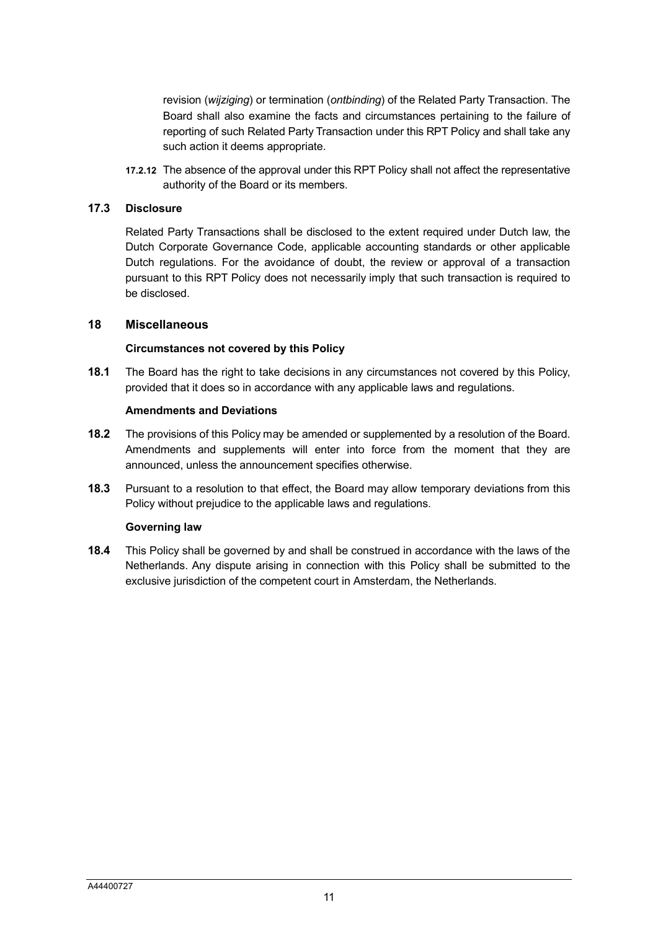revision (*wijziging*) or termination (*ontbinding*) of the Related Party Transaction. The Board shall also examine the facts and circumstances pertaining to the failure of reporting of such Related Party Transaction under this RPT Policy and shall take any such action it deems appropriate.

**17.2.12** The absence of the approval under this RPT Policy shall not affect the representative authority of the Board or its members.

#### **17.3 Disclosure**

Related Party Transactions shall be disclosed to the extent required under Dutch law, the Dutch Corporate Governance Code, applicable accounting standards or other applicable Dutch regulations. For the avoidance of doubt, the review or approval of a transaction pursuant to this RPT Policy does not necessarily imply that such transaction is required to be disclosed.

#### **18 Miscellaneous**

#### **Circumstances not covered by this Policy**

**18.1** The Board has the right to take decisions in any circumstances not covered by this Policy, provided that it does so in accordance with any applicable laws and regulations.

#### **Amendments and Deviations**

- **18.2** The provisions of this Policy may be amended or supplemented by a resolution of the Board. Amendments and supplements will enter into force from the moment that they are announced, unless the announcement specifies otherwise.
- **18.3** Pursuant to a resolution to that effect, the Board may allow temporary deviations from this Policy without prejudice to the applicable laws and regulations.

#### **Governing law**

**18.4** This Policy shall be governed by and shall be construed in accordance with the laws of the Netherlands. Any dispute arising in connection with this Policy shall be submitted to the exclusive jurisdiction of the competent court in Amsterdam, the Netherlands.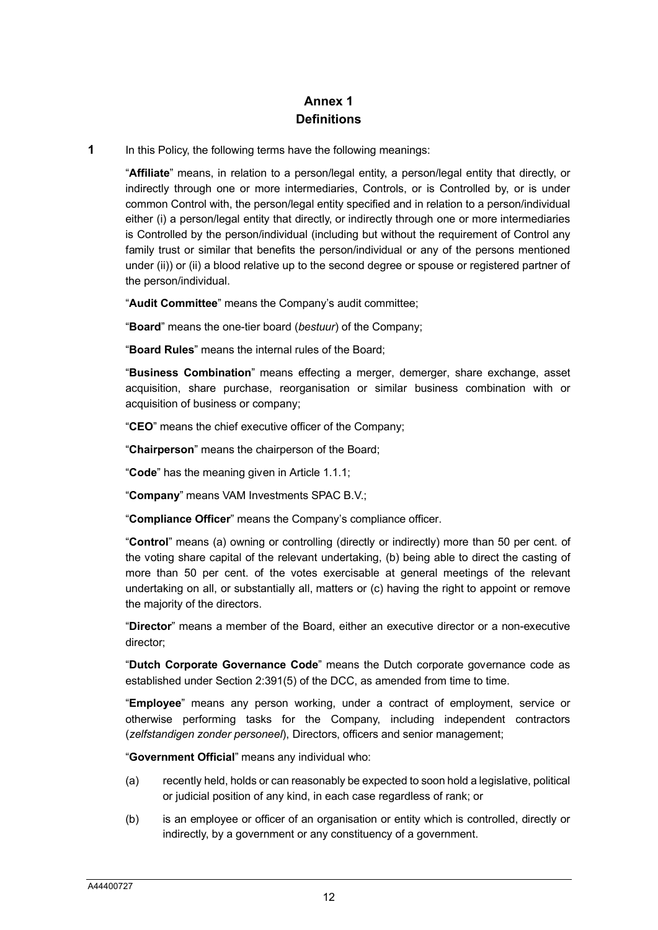# **Annex 1 Definitions**

**1** In this Policy, the following terms have the following meanings:

"**Affiliate**" means, in relation to a person/legal entity, a person/legal entity that directly, or indirectly through one or more intermediaries, Controls, or is Controlled by, or is under common Control with, the person/legal entity specified and in relation to a person/individual either (i) a person/legal entity that directly, or indirectly through one or more intermediaries is Controlled by the person/individual (including but without the requirement of Control any family trust or similar that benefits the person/individual or any of the persons mentioned under (ii)) or (ii) a blood relative up to the second degree or spouse or registered partner of the person/individual.

"**Audit Committee**" means the Company's audit committee;

"**Board**" means the one-tier board (*bestuur*) of the Company;

"**Board Rules**" means the internal rules of the Board;

"**Business Combination**" means effecting a merger, demerger, share exchange, asset acquisition, share purchase, reorganisation or similar business combination with or acquisition of business or company;

"**CEO**" means the chief executive officer of the Company;

"**Chairperson**" means the chairperson of the Board;

"**Code**" has the meaning given in Article 1.1.1;

"**Company**" means VAM Investments SPAC B.V.;

"**Compliance Officer**" means the Company's compliance officer.

"**Control**" means (a) owning or controlling (directly or indirectly) more than 50 per cent. of the voting share capital of the relevant undertaking, (b) being able to direct the casting of more than 50 per cent. of the votes exercisable at general meetings of the relevant undertaking on all, or substantially all, matters or (c) having the right to appoint or remove the majority of the directors.

"**Director**" means a member of the Board, either an executive director or a non-executive director;

"**Dutch Corporate Governance Code**" means the Dutch corporate governance code as established under Section 2:391(5) of the DCC, as amended from time to time.

"**Employee**" means any person working, under a contract of employment, service or otherwise performing tasks for the Company, including independent contractors (*zelfstandigen zonder personeel*), Directors, officers and senior management;

"**Government Official**" means any individual who:

- (a) recently held, holds or can reasonably be expected to soon hold a legislative, political or judicial position of any kind, in each case regardless of rank; or
- (b) is an employee or officer of an organisation or entity which is controlled, directly or indirectly, by a government or any constituency of a government.